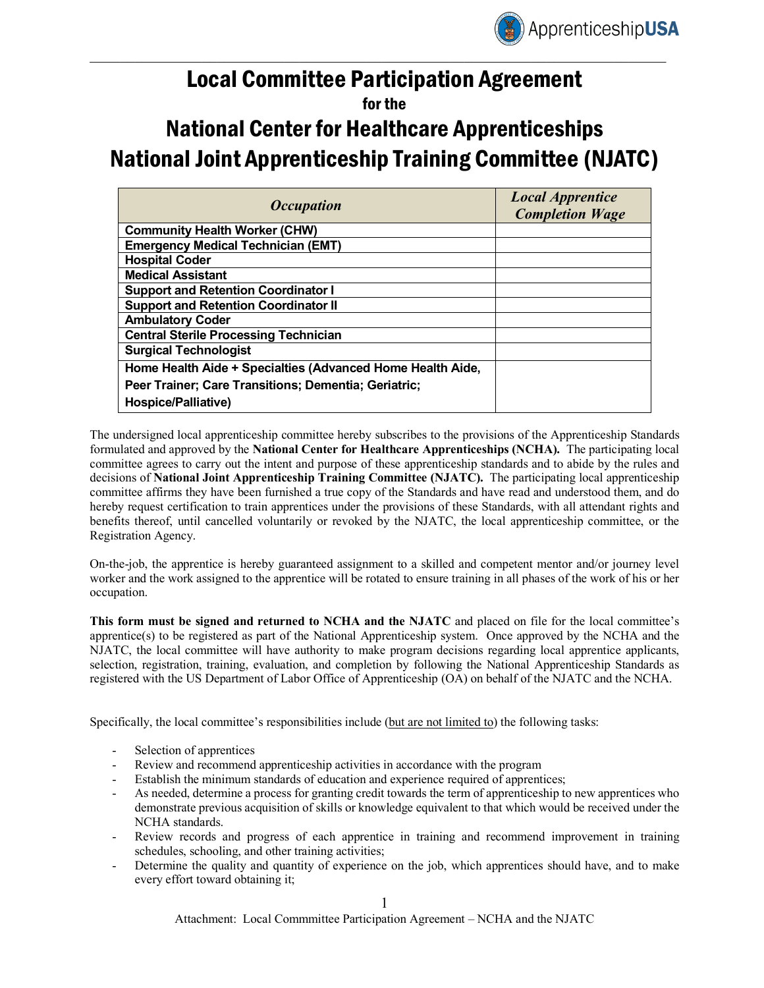

## Local Committee Participation Agreement

## for the

# National Center for Healthcare Apprenticeships National Joint Apprenticeship Training Committee (NJATC)

| <i><b>Occupation</b></i>                                   | <b>Local Apprentice</b><br><b>Completion Wage</b> |
|------------------------------------------------------------|---------------------------------------------------|
| <b>Community Health Worker (CHW)</b>                       |                                                   |
| <b>Emergency Medical Technician (EMT)</b>                  |                                                   |
| <b>Hospital Coder</b>                                      |                                                   |
| <b>Medical Assistant</b>                                   |                                                   |
| <b>Support and Retention Coordinator I</b>                 |                                                   |
| <b>Support and Retention Coordinator II</b>                |                                                   |
| <b>Ambulatory Coder</b>                                    |                                                   |
| <b>Central Sterile Processing Technician</b>               |                                                   |
| <b>Surgical Technologist</b>                               |                                                   |
| Home Health Aide + Specialties (Advanced Home Health Aide, |                                                   |
| Peer Trainer; Care Transitions; Dementia; Geriatric;       |                                                   |
| Hospice/Palliative)                                        |                                                   |

The undersigned local apprenticeship committee hereby subscribes to the provisions of the Apprenticeship Standards formulated and approved by the **National Center for Healthcare Apprenticeships (NCHA).** The participating local committee agrees to carry out the intent and purpose of these apprenticeship standards and to abide by the rules and decisions of **National Joint Apprenticeship Training Committee (NJATC).** The participating local apprenticeship committee affirms they have been furnished a true copy of the Standards and have read and understood them, and do hereby request certification to train apprentices under the provisions of these Standards, with all attendant rights and benefits thereof, until cancelled voluntarily or revoked by the NJATC, the local apprenticeship committee, or the Registration Agency.

On-the-job, the apprentice is hereby guaranteed assignment to a skilled and competent mentor and/or journey level worker and the work assigned to the apprentice will be rotated to ensure training in all phases of the work of his or her occupation.

**This form must be signed and returned to NCHA and the NJATC** and placed on file for the local committee's apprentice(s) to be registered as part of the National Apprenticeship system. Once approved by the NCHA and the NJATC, the local committee will have authority to make program decisions regarding local apprentice applicants, selection, registration, training, evaluation, and completion by following the National Apprenticeship Standards as registered with the US Department of Labor Office of Apprenticeship (OA) on behalf of the NJATC and the NCHA.

Specifically, the local committee's responsibilities include (but are not limited to) the following tasks:

- Selection of apprentices
- Review and recommend apprenticeship activities in accordance with the program
- Establish the minimum standards of education and experience required of apprentices;
- As needed, determine a process for granting credit towards the term of apprenticeship to new apprentices who demonstrate previous acquisition of skills or knowledge equivalent to that which would be received under the NCHA standards.
- Review records and progress of each apprentice in training and recommend improvement in training schedules, schooling, and other training activities;
- Determine the quality and quantity of experience on the job, which apprentices should have, and to make every effort toward obtaining it;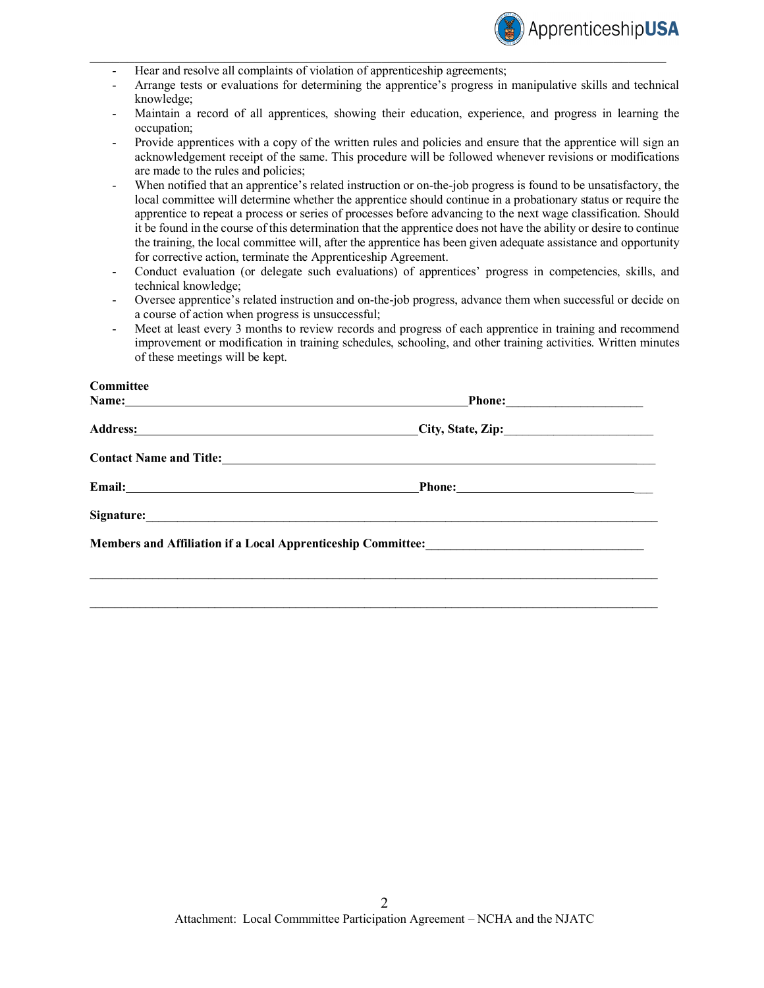

- Hear and resolve all complaints of violation of apprenticeship agreements;
- Arrange tests or evaluations for determining the apprentice's progress in manipulative skills and technical knowledge;

 $\mathcal{L}_\mathcal{L} = \{ \mathcal{L}_\mathcal{L} = \{ \mathcal{L}_\mathcal{L} = \{ \mathcal{L}_\mathcal{L} = \{ \mathcal{L}_\mathcal{L} = \{ \mathcal{L}_\mathcal{L} = \{ \mathcal{L}_\mathcal{L} = \{ \mathcal{L}_\mathcal{L} = \{ \mathcal{L}_\mathcal{L} = \{ \mathcal{L}_\mathcal{L} = \{ \mathcal{L}_\mathcal{L} = \{ \mathcal{L}_\mathcal{L} = \{ \mathcal{L}_\mathcal{L} = \{ \mathcal{L}_\mathcal{L} = \{ \mathcal{L}_\mathcal{$ 

- Maintain a record of all apprentices, showing their education, experience, and progress in learning the occupation;
- Provide apprentices with a copy of the written rules and policies and ensure that the apprentice will sign an acknowledgement receipt of the same. This procedure will be followed whenever revisions or modifications are made to the rules and policies;
- When notified that an apprentice's related instruction or on-the-job progress is found to be unsatisfactory, the local committee will determine whether the apprentice should continue in a probationary status or require the apprentice to repeat a process or series of processes before advancing to the next wage classification. Should it be found in the course of this determination that the apprentice does not have the ability or desire to continue the training, the local committee will, after the apprentice has been given adequate assistance and opportunity for corrective action, terminate the Apprenticeship Agreement.
- Conduct evaluation (or delegate such evaluations) of apprentices' progress in competencies, skills, and technical knowledge;
- Oversee apprentice's related instruction and on-the-job progress, advance them when successful or decide on a course of action when progress is unsuccessful;
- Meet at least every 3 months to review records and progress of each apprentice in training and recommend improvement or modification in training schedules, schooling, and other training activities. Written minutes of these meetings will be kept.

| Committee                                  |                                                                                                        |
|--------------------------------------------|--------------------------------------------------------------------------------------------------------|
| Name: Name: New York 2014                  |                                                                                                        |
|                                            | $\text{City}, \text{State}, \text{Zip:}$                                                               |
|                                            |                                                                                                        |
| Email: <u>Department</u>                   |                                                                                                        |
| Signature: <u>Contractor Communication</u> |                                                                                                        |
|                                            | Members and Affiliation if a Local Apprenticeship Committee:<br><u>Local Apprenticeship Committee:</u> |
|                                            |                                                                                                        |
|                                            |                                                                                                        |

 $\mathcal{L}_\mathcal{L} = \{ \mathcal{L}_\mathcal{L} = \{ \mathcal{L}_\mathcal{L} = \{ \mathcal{L}_\mathcal{L} = \{ \mathcal{L}_\mathcal{L} = \{ \mathcal{L}_\mathcal{L} = \{ \mathcal{L}_\mathcal{L} = \{ \mathcal{L}_\mathcal{L} = \{ \mathcal{L}_\mathcal{L} = \{ \mathcal{L}_\mathcal{L} = \{ \mathcal{L}_\mathcal{L} = \{ \mathcal{L}_\mathcal{L} = \{ \mathcal{L}_\mathcal{L} = \{ \mathcal{L}_\mathcal{L} = \{ \mathcal{L}_\mathcal{$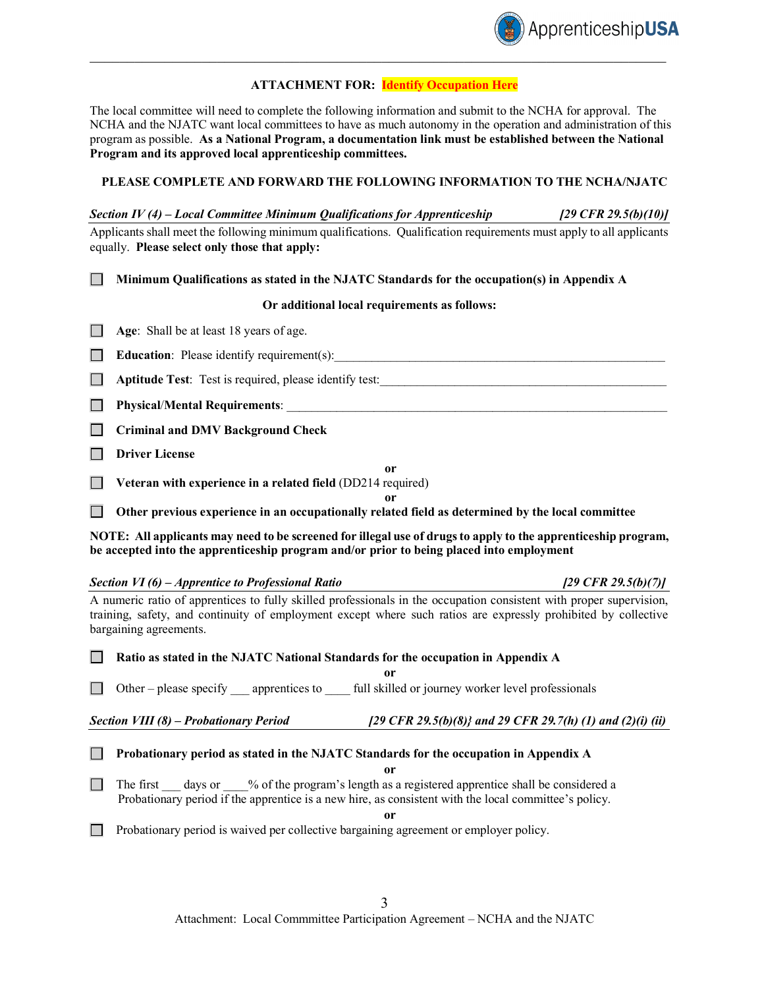

#### **ATTACHMENT FOR: Identify Occupation Here**

 $\mathcal{L}_\mathcal{L} = \{ \mathcal{L}_\mathcal{L} = \{ \mathcal{L}_\mathcal{L} = \{ \mathcal{L}_\mathcal{L} = \{ \mathcal{L}_\mathcal{L} = \{ \mathcal{L}_\mathcal{L} = \{ \mathcal{L}_\mathcal{L} = \{ \mathcal{L}_\mathcal{L} = \{ \mathcal{L}_\mathcal{L} = \{ \mathcal{L}_\mathcal{L} = \{ \mathcal{L}_\mathcal{L} = \{ \mathcal{L}_\mathcal{L} = \{ \mathcal{L}_\mathcal{L} = \{ \mathcal{L}_\mathcal{L} = \{ \mathcal{L}_\mathcal{$ 

The local committee will need to complete the following information and submit to the NCHA for approval. The NCHA and the NJATC want local committees to have as much autonomy in the operation and administration of this program as possible. **As a National Program, a documentation link must be established between the National Program and its approved local apprenticeship committees.**

#### **PLEASE COMPLETE AND FORWARD THE FOLLOWING INFORMATION TO THE NCHA/NJATC**

| Section IV $(4)$ – Local Committee Minimum Qualifications for Apprenticeship                                        | [29 CFR 29.5(b)(10)] |
|---------------------------------------------------------------------------------------------------------------------|----------------------|
| Applicants shall meet the following minimum qualifications. Qualification requirements must apply to all applicants |                      |
| equally. Please select only those that apply:                                                                       |                      |

**Minimum Qualifications as stated in the NJATC Standards for the occupation(s) in Appendix A**

#### **Or additional local requirements as follows:**

**Age:** Shall be at least 18 years of age.

**Education**: Please identify requirement(s):

**Aptitude Test**: Test is required, please identify test:\_\_\_\_\_\_\_\_\_\_\_\_\_\_\_\_\_\_\_\_\_\_\_\_\_\_\_\_\_\_\_\_\_\_\_\_\_\_\_\_\_\_\_\_\_\_

**Physical**/**Mental Requirements**: \_\_\_\_\_\_\_\_\_\_\_\_\_\_\_\_\_\_\_\_\_\_\_\_\_\_\_\_\_\_\_\_\_\_\_\_\_\_\_\_\_\_\_\_\_\_\_\_\_\_\_\_\_\_\_\_\_\_\_\_\_

**Criminal and DMV Background Check**

**Driver License** 

**Veteran with experience in a related field** (DD214 required)

**or**

**or**

**Other previous experience in an occupationally related field as determined by the local committee**

**NOTE: All applicants may need to be screened for illegal use of drugs to apply to the apprenticeship program, be accepted into the apprenticeship program and/or prior to being placed into employment**

| Section VI (6) – Apprentice to Professional Ratio                                                                                                                                                                                                               |                                                            | [29 CFR 29.5(b)(7)] |  |  |
|-----------------------------------------------------------------------------------------------------------------------------------------------------------------------------------------------------------------------------------------------------------------|------------------------------------------------------------|---------------------|--|--|
| A numeric ratio of apprentices to fully skilled professionals in the occupation consistent with proper supervision,<br>training, safety, and continuity of employment except where such ratios are expressly prohibited by collective<br>bargaining agreements. |                                                            |                     |  |  |
| Ratio as stated in the NJATC National Standards for the occupation in Appendix A                                                                                                                                                                                |                                                            |                     |  |  |
|                                                                                                                                                                                                                                                                 | or                                                         |                     |  |  |
| Other – please specify apprentices to full skilled or journey worker level professionals                                                                                                                                                                        |                                                            |                     |  |  |
| Section VIII (8) – Probationary Period                                                                                                                                                                                                                          | [29 CFR 29.5(b)(8)} and 29 CFR 29.7(h) (1) and (2)(i) (ii) |                     |  |  |
| Probationary period as stated in the NJATC Standards for the occupation in Appendix A                                                                                                                                                                           |                                                            |                     |  |  |
|                                                                                                                                                                                                                                                                 | or                                                         |                     |  |  |
| The first days or % of the program's length as a registered apprentice shall be considered a<br>Probationary period if the apprentice is a new hire, as consistent with the local committee's policy.                                                           |                                                            |                     |  |  |
| <sub>or</sub>                                                                                                                                                                                                                                                   |                                                            |                     |  |  |
| Probationary period is waived per collective bargaining agreement or employer policy.                                                                                                                                                                           |                                                            |                     |  |  |